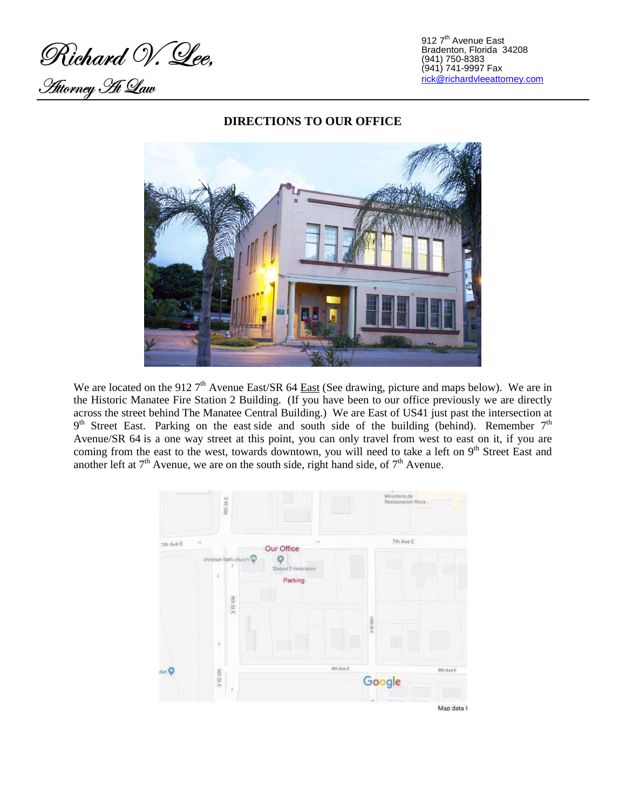Richard V. Lee,

Taàéu Tanàna Taona.<br>Taony Tanàna Taav

912 7<sup>th</sup> Avenue East Bradenton, Florida 34208 (941) 750-8383 (941) 741-9997 Fax rick@richardvleeattorney.com



## **DIRECTIONS TO OUR OFFICE**

We are located on the 912 7<sup>th</sup> Avenue East/SR 64 East (See drawing, picture and maps below). We are in the Historic Manatee Fire Station 2 Building. (If you have been to our office previously we are directly across the street behind The Manatee Central Building.) We are East of US41 just past the intersection at  $9<sup>th</sup>$  Street East. Parking on the east side and south side of the building (behind). Remember  $7<sup>th</sup>$ Avenue/SR 64 is a one way street at this point, you can only travel from west to east on it, if you are coming from the east to the west, towards downtown, you will need to take a left on 9<sup>th</sup> Street East and another left at  $7<sup>th</sup>$  Avenue, we are on the south side, right hand side, of  $7<sup>th</sup>$  Avenue.

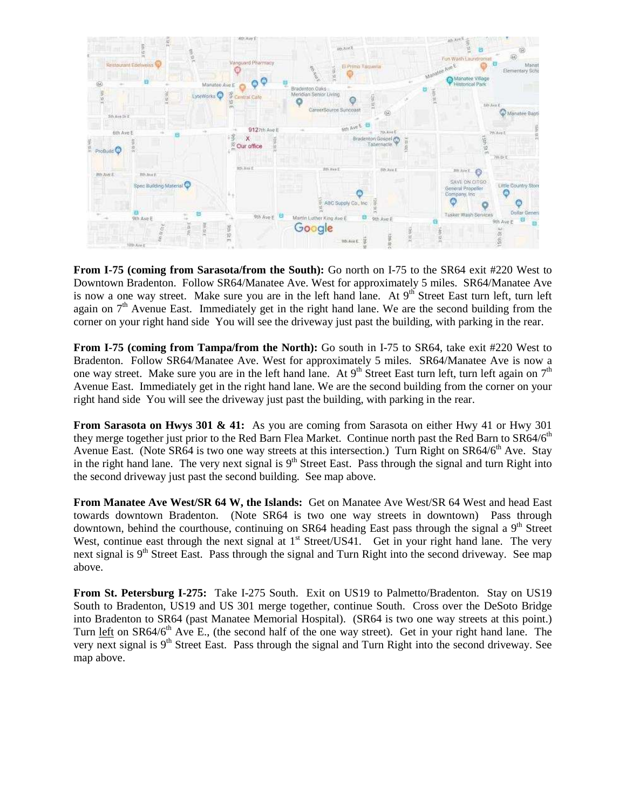

From I-75 (coming from Sarasota/from the South): Go north on I-75 to the SR64 exit #220 West to Downtown Bradenton. Follow SR64/Manatee Ave. West for approximately 5 miles. SR64/Manatee Ave is now a one way street. Make sure you are in the left hand lane. At  $9<sup>th</sup>$  Street East turn left, turn left again on  $7<sup>th</sup>$  Avenue East. Immediately get in the right hand lane. We are the second building from the corner on your right hand side You will see the driveway just past the building, with parking in the rear.

**From I-75 (coming from Tampa/from the North):** Go south in I-75 to SR64, take exit #220 West to Bradenton. Follow SR64/Manatee Ave. West for approximately 5 miles. SR64/Manatee Ave is now a one way street. Make sure you are in the left hand lane. At  $9<sup>th</sup>$  Street East turn left, turn left again on  $7<sup>th</sup>$ Avenue East. Immediately get in the right hand lane. We are the second building from the corner on your right hand side You will see the driveway just past the building, with parking in the rear.

**From Sarasota on Hwys 301 & 41:** As you are coming from Sarasota on either Hwy 41 or Hwy 301 they merge together just prior to the Red Barn Flea Market. Continue north past the Red Barn to SR64/6<sup>th</sup> Avenue East. (Note SR64 is two one way streets at this intersection.) Turn Right on  $SR64/6<sup>th</sup>$  Ave. Stay in the right hand lane. The very next signal is  $9<sup>th</sup>$  Street East. Pass through the signal and turn Right into the second driveway just past the second building. See map above.

**From Manatee Ave West/SR 64 W, the Islands:** Get on Manatee Ave West/SR 64 West and head East towards downtown Bradenton. (Note SR64 is two one way streets in downtown) Pass through downtown, behind the courthouse, continuing on SR64 heading East pass through the signal a  $9<sup>th</sup>$  Street West, continue east through the next signal at  $1<sup>st</sup>$  Street/US41. Get in your right hand lane. The very next signal is  $9<sup>th</sup>$  Street East. Pass through the signal and Turn Right into the second driveway. See map above.

**From St. Petersburg I-275:** Take I-275 South. Exit on US19 to Palmetto/Bradenton. Stay on US19 South to Bradenton, US19 and US 301 merge together, continue South. Cross over the DeSoto Bridge into Bradenton to SR64 (past Manatee Memorial Hospital). (SR64 is two one way streets at this point.) Turn left on SR64/6<sup>th</sup> Ave E., (the second half of the one way street). Get in your right hand lane. The very next signal is  $9<sup>th</sup>$  Street East. Pass through the signal and Turn Right into the second driveway. See map above.